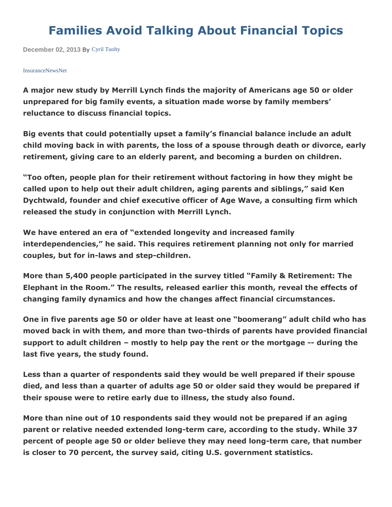## **Families Avoid Talking About Financial Topics**

**December 02, 2013** By [Cyril Tuohy](http://insurancenewsnet.com/author/Cyril-Tuohy-a-482.html)

## [InsuranceNewsNet](http://www.insurancenewsnet.com/)

**A major new study by Merrill Lynch finds the majority of Americans age 50 or older unprepared for big family events, a situation made worse by family members' reluctance to discuss financial topics.** 

**Big events that could potentially upset a family's financial balance include an adult child moving back in with parents, the loss of a spouse through death or divorce, early retirement, giving care to an elderly parent, and becoming a burden on children.** 

**"Too often, people plan for their retirement without factoring in how they might be called upon to help out their adult children, aging parents and siblings," said Ken Dychtwald, founder and chief executive officer of Age Wave, a consulting firm which released the study in conjunction with Merrill Lynch.** 

**We have entered an era of "extended longevity and increased family interdependencies," he said. This requires retirement planning not only for married couples, but for in-laws and step-children.** 

**More than 5,400 people participated in the survey titled "Family & Retirement: The Elephant in the Room." The results, released earlier this month, reveal the effects of changing family dynamics and how the changes affect financial circumstances.** 

**One in five parents age 50 or older have at least one "boomerang" adult child who has moved back in with them, and more than two-thirds of parents have provided financial support to adult children – mostly to help pay the rent or the mortgage -- during the last five years, the study found.** 

**Less than a quarter of respondents said they would be well prepared if their spouse died, and less than a quarter of adults age 50 or older said they would be prepared if their spouse were to retire early due to illness, the study also found.** 

**More than nine out of 10 respondents said they would not be prepared if an aging parent or relative needed extended long-term care, according to the study. While 37 percent of people age 50 or older believe they may need long-term care, that number is closer to 70 percent, the survey said, citing U.S. government statistics.**